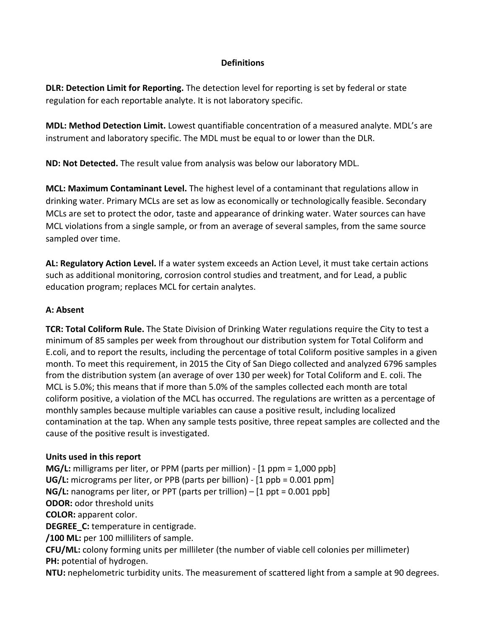#### **Definitions**

**DLR: Detection Limit for Reporting.** The detection level for reporting is set by federal or state regulation for each reportable analyte. It is not laboratory specific.

**MDL: Method Detection Limit.** Lowest quantifiable concentration of a measured analyte. MDL's are instrument and laboratory specific. The MDL must be equal to or lower than the DLR.

**ND: Not Detected.** The result value from analysis was below our laboratory MDL.

**MCL: Maximum Contaminant Level.** The highest level of a contaminant that regulations allow in drinking water. Primary MCLs are set as low as economically or technologically feasible. Secondary MCLs are set to protect the odor, taste and appearance of drinking water. Water sources can have MCL violations from a single sample, or from an average of several samples, from the same source sampled over time.

**AL: Regulatory Action Level.** If a water system exceeds an Action Level, it must take certain actions such as additional monitoring, corrosion control studies and treatment, and for Lead, a public education program; replaces MCL for certain analytes.

#### **A: Absent**

**TCR: Total Coliform Rule.** The State Division of Drinking Water regulations require the City to test a minimum of 85 samples per week from throughout our distribution system for Total Coliform and E.coli, and to report the results, including the percentage of total Coliform positive samples in a given month. To meet this requirement, in 2015 the City of San Diego collected and analyzed 6796 samples from the distribution system (an average of over 130 per week) for Total Coliform and E. coli. The MCL is 5.0%; this means that if more than 5.0% of the samples collected each month are total coliform positive, a violation of the MCL has occurred. The regulations are written as a percentage of monthly samples because multiple variables can cause a positive result, including localized contamination at the tap. When any sample tests positive, three repeat samples are collected and the cause of the positive result is investigated.

#### **Units used in this report**

**MG/L:** milligrams per liter, or PPM (parts per million) ‐ [1 ppm = 1,000 ppb] **UG/L:** micrograms per liter, or PPB (parts per billion) ‐ [1 ppb = 0.001 ppm] **NG/L:** nanograms per liter, or PPT (parts per trillion) – [1 ppt = 0.001 ppb] **ODOR:** odor threshold units **COLOR:** apparent color. **DEGREE** C: temperature in centigrade. **/100 ML:** per 100 milliliters of sample.

**CFU/ML:** colony forming units per millileter (the number of viable cell colonies per millimeter) **PH:** potential of hydrogen.

**NTU:** nephelometric turbidity units. The measurement of scattered light from a sample at 90 degrees.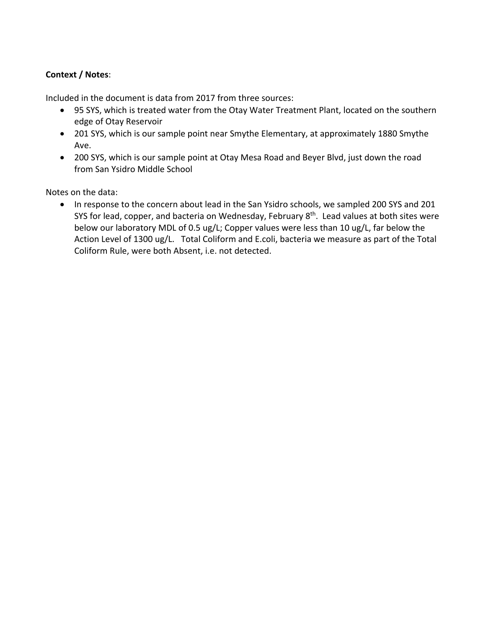#### **Context / Notes**:

Included in the document is data from 2017 from three sources:

- 95 SYS, which is treated water from the Otay Water Treatment Plant, located on the southern edge of Otay Reservoir
- 201 SYS, which is our sample point near Smythe Elementary, at approximately 1880 Smythe Ave.
- 200 SYS, which is our sample point at Otay Mesa Road and Beyer Blvd, just down the road from San Ysidro Middle School

Notes on the data:

• In response to the concern about lead in the San Ysidro schools, we sampled 200 SYS and 201 SYS for lead, copper, and bacteria on Wednesday, February 8<sup>th</sup>. Lead values at both sites were below our laboratory MDL of 0.5 ug/L; Copper values were less than 10 ug/L, far below the Action Level of 1300 ug/L. Total Coliform and E.coli, bacteria we measure as part of the Total Coliform Rule, were both Absent, i.e. not detected.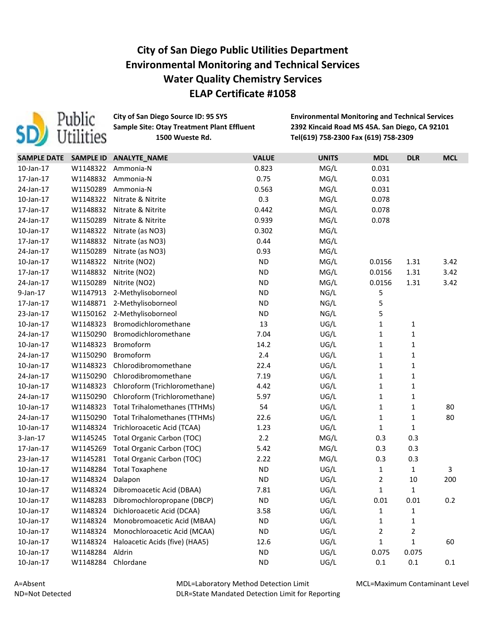

**City of San Diego Source ID: 95 SYS Environmental Monitoring and Technical Services Sample Site: Otay Treatment Plant Effluent 2392 Kincaid Road MS 45A. San Diego, CA 92101 Sample Site: 1500 Wueste Rd. Tel(619) 758-2300 Fax (619) 758-2309**

| <b>SAMPLE DATE</b> | <b>SAMPLE ID</b> | ANALYTE_NAME                         | <b>VALUE</b> | <b>UNITS</b> | <b>MDL</b>     | <b>DLR</b>   | <b>MCL</b> |
|--------------------|------------------|--------------------------------------|--------------|--------------|----------------|--------------|------------|
| 10-Jan-17          | W1148322         | Ammonia-N                            | 0.823        | MG/L         | 0.031          |              |            |
| 17-Jan-17          | W1148832         | Ammonia-N                            | 0.75         | MG/L         | 0.031          |              |            |
| 24-Jan-17          | W1150289         | Ammonia-N                            | 0.563        | MG/L         | 0.031          |              |            |
| $10$ -Jan- $17$    | W1148322         | Nitrate & Nitrite                    | 0.3          | MG/L         | 0.078          |              |            |
| 17-Jan-17          | W1148832         | Nitrate & Nitrite                    | 0.442        | MG/L         | 0.078          |              |            |
| 24-Jan-17          | W1150289         | Nitrate & Nitrite                    | 0.939        | MG/L         | 0.078          |              |            |
| 10-Jan-17          | W1148322         | Nitrate (as NO3)                     | 0.302        | MG/L         |                |              |            |
| 17-Jan-17          | W1148832         | Nitrate (as NO3)                     | 0.44         | MG/L         |                |              |            |
| 24-Jan-17          | W1150289         | Nitrate (as NO3)                     | 0.93         | MG/L         |                |              |            |
| 10-Jan-17          | W1148322         | Nitrite (NO2)                        | <b>ND</b>    | MG/L         | 0.0156         | 1.31         | 3.42       |
| 17-Jan-17          | W1148832         | Nitrite (NO2)                        | <b>ND</b>    | MG/L         | 0.0156         | 1.31         | 3.42       |
| 24-Jan-17          | W1150289         | Nitrite (NO2)                        | <b>ND</b>    | MG/L         | 0.0156         | 1.31         | 3.42       |
| 9-Jan-17           | W1147913         | 2-Methylisoborneol                   | <b>ND</b>    | NG/L         | 5              |              |            |
| 17-Jan-17          | W1148871         | 2-Methylisoborneol                   | <b>ND</b>    | NG/L         | 5              |              |            |
| 23-Jan-17          | W1150162         | 2-Methylisoborneol                   | <b>ND</b>    | NG/L         | 5              |              |            |
| 10-Jan-17          | W1148323         | Bromodichloromethane                 | 13           | UG/L         | $\mathbf 1$    | $\mathbf 1$  |            |
| 24-Jan-17          | W1150290         | Bromodichloromethane                 | 7.04         | UG/L         | $\mathbf{1}$   | $\mathbf 1$  |            |
| $10$ -Jan- $17$    | W1148323         | Bromoform                            | 14.2         | UG/L         | $\mathbf 1$    | $\mathbf 1$  |            |
| 24-Jan-17          | W1150290         | Bromoform                            | 2.4          | UG/L         | $\mathbf 1$    | $\mathbf 1$  |            |
| 10-Jan-17          | W1148323         | Chlorodibromomethane                 | 22.4         | UG/L         | $\mathbf 1$    | $\mathbf 1$  |            |
| 24-Jan-17          | W1150290         | Chlorodibromomethane                 | 7.19         | UG/L         | $\mathbf{1}$   | $\mathbf 1$  |            |
| 10-Jan-17          | W1148323         | Chloroform (Trichloromethane)        | 4.42         | UG/L         | $\mathbf{1}$   | $\mathbf 1$  |            |
| 24-Jan-17          | W1150290         | Chloroform (Trichloromethane)        | 5.97         | UG/L         | $\mathbf{1}$   | $\mathbf{1}$ |            |
| 10-Jan-17          | W1148323         | <b>Total Trihalomethanes (TTHMs)</b> | 54           | UG/L         | $\mathbf{1}$   | $\mathbf 1$  | 80         |
| 24-Jan-17          | W1150290         | <b>Total Trihalomethanes (TTHMs)</b> | 22.6         | UG/L         | $\mathbf{1}$   | $\mathbf 1$  | 80         |
| $10$ -Jan- $17$    | W1148324         | Trichloroacetic Acid (TCAA)          | 1.23         | UG/L         | $\mathbf{1}$   | $\mathbf{1}$ |            |
| $3$ -Jan-17        | W1145245         | <b>Total Organic Carbon (TOC)</b>    | 2.2          | MG/L         | 0.3            | 0.3          |            |
| 17-Jan-17          | W1145269         | <b>Total Organic Carbon (TOC)</b>    | 5.42         | MG/L         | 0.3            | 0.3          |            |
| 23-Jan-17          | W1145281         | <b>Total Organic Carbon (TOC)</b>    | 2.22         | MG/L         | 0.3            | 0.3          |            |
| $10$ -Jan- $17$    | W1148284         | <b>Total Toxaphene</b>               | <b>ND</b>    | UG/L         | $\mathbf 1$    | $\mathbf 1$  | 3          |
| 10-Jan-17          | W1148324         | Dalapon                              | <b>ND</b>    | UG/L         | $\overline{2}$ | $10\,$       | 200        |
| 10-Jan-17          | W1148324         | Dibromoacetic Acid (DBAA)            | 7.81         | UG/L         | $\mathbf{1}$   | $\mathbf{1}$ |            |
| 10-Jan-17          |                  | W1148283 Dibromochloropropane (DBCP) | <b>ND</b>    | UG/L         | 0.01           | 0.01         | 0.2        |
| 10-Jan-17          | W1148324         | Dichloroacetic Acid (DCAA)           | 3.58         | UG/L         | 1              | 1            |            |
| $10$ -Jan- $17$    | W1148324         | Monobromoacetic Acid (MBAA)          | <b>ND</b>    | UG/L         | $\mathbf 1$    | 1            |            |
| 10-Jan-17          | W1148324         | Monochloroacetic Acid (MCAA)         | <b>ND</b>    | UG/L         | 2              | 2            |            |
| 10-Jan-17          | W1148324         | Haloacetic Acids (five) (HAA5)       | 12.6         | UG/L         | $\mathbf{1}$   | 1            | 60         |
| $10$ -Jan- $17$    | W1148284         | Aldrin                               | <b>ND</b>    | UG/L         | 0.075          | 0.075        |            |
| $10$ -Jan- $17$    | W1148284         | Chlordane                            | <b>ND</b>    | UG/L         | 0.1            | 0.1          | 0.1        |

A=Absent ND=Not Detected MDL=Laboratory Method Detection Limit DLR=State Mandated Detection Limit for Reporting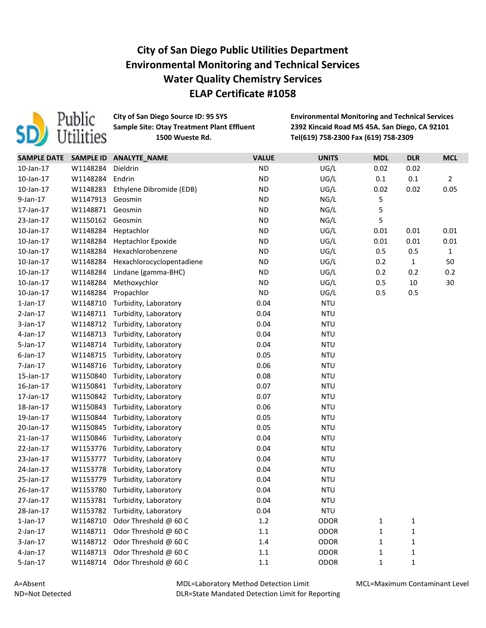

**City of San Diego Source ID: 95 SYS Environmental Monitoring and Technical Services Sample Site: Otay Treatment Plant Effluent 2392 Kincaid Road MS 45A. San Diego, CA 92101 Sample Site: 1500 Wueste Rd. Tel(619) 758-2300 Fax (619) 758-2309**

| <b>SAMPLE DATE</b> | <b>SAMPLE ID</b> | ANALYTE_NAME              | <b>VALUE</b> | <b>UNITS</b> | <b>MDL</b>   | <b>DLR</b>   | <b>MCL</b>     |
|--------------------|------------------|---------------------------|--------------|--------------|--------------|--------------|----------------|
| 10-Jan-17          | W1148284         | Dieldrin                  | <b>ND</b>    | UG/L         | 0.02         | 0.02         |                |
| $10$ -Jan- $17$    | W1148284         | Endrin                    | <b>ND</b>    | UG/L         | 0.1          | 0.1          | $\overline{2}$ |
| 10-Jan-17          | W1148283         | Ethylene Dibromide (EDB)  | <b>ND</b>    | UG/L         | 0.02         | 0.02         | 0.05           |
| $9$ -Jan-17        | W1147913         | Geosmin                   | <b>ND</b>    | NG/L         | 5            |              |                |
| 17-Jan-17          | W1148871         | Geosmin                   | <b>ND</b>    | NG/L         | 5            |              |                |
| 23-Jan-17          | W1150162         | Geosmin                   | <b>ND</b>    | NG/L         | 5            |              |                |
| 10-Jan-17          | W1148284         | Heptachlor                | <b>ND</b>    | UG/L         | 0.01         | 0.01         | 0.01           |
| 10-Jan-17          | W1148284         | <b>Heptachlor Epoxide</b> | <b>ND</b>    | UG/L         | 0.01         | 0.01         | 0.01           |
| 10-Jan-17          | W1148284         | Hexachlorobenzene         | <b>ND</b>    | UG/L         | 0.5          | 0.5          | $\mathbf{1}$   |
| 10-Jan-17          | W1148284         | Hexachlorocyclopentadiene | <b>ND</b>    | UG/L         | 0.2          | $\mathbf{1}$ | 50             |
| 10-Jan-17          | W1148284         | Lindane (gamma-BHC)       | <b>ND</b>    | UG/L         | 0.2          | 0.2          | 0.2            |
| 10-Jan-17          | W1148284         | Methoxychlor              | <b>ND</b>    | UG/L         | 0.5          | 10           | 30             |
| 10-Jan-17          | W1148284         | Propachlor                | <b>ND</b>    | UG/L         | 0.5          | 0.5          |                |
| $1$ -Jan- $17$     | W1148710         | Turbidity, Laboratory     | 0.04         | <b>NTU</b>   |              |              |                |
| $2$ -Jan-17        | W1148711         | Turbidity, Laboratory     | 0.04         | <b>NTU</b>   |              |              |                |
| 3-Jan-17           | W1148712         | Turbidity, Laboratory     | 0.04         | <b>NTU</b>   |              |              |                |
| $4$ -Jan-17        | W1148713         | Turbidity, Laboratory     | 0.04         | <b>NTU</b>   |              |              |                |
| 5-Jan-17           | W1148714         | Turbidity, Laboratory     | 0.04         | <b>NTU</b>   |              |              |                |
| $6$ -Jan-17        | W1148715         | Turbidity, Laboratory     | 0.05         | <b>NTU</b>   |              |              |                |
| 7-Jan-17           | W1148716         | Turbidity, Laboratory     | 0.06         | <b>NTU</b>   |              |              |                |
| 15-Jan-17          | W1150840         | Turbidity, Laboratory     | 0.08         | <b>NTU</b>   |              |              |                |
|                    | W1150841         |                           | 0.07         | <b>NTU</b>   |              |              |                |
| 16-Jan-17          |                  | Turbidity, Laboratory     |              |              |              |              |                |
| 17-Jan-17          | W1150842         | Turbidity, Laboratory     | 0.07         | <b>NTU</b>   |              |              |                |
| 18-Jan-17          | W1150843         | Turbidity, Laboratory     | 0.06         | <b>NTU</b>   |              |              |                |
| 19-Jan-17          | W1150844         | Turbidity, Laboratory     | 0.05         | <b>NTU</b>   |              |              |                |
| 20-Jan-17          | W1150845         | Turbidity, Laboratory     | 0.05         | <b>NTU</b>   |              |              |                |
| 21-Jan-17          | W1150846         | Turbidity, Laboratory     | 0.04         | <b>NTU</b>   |              |              |                |
| 22-Jan-17          | W1153776         | Turbidity, Laboratory     | 0.04         | <b>NTU</b>   |              |              |                |
| 23-Jan-17          | W1153777         | Turbidity, Laboratory     | 0.04         | <b>NTU</b>   |              |              |                |
| 24-Jan-17          | W1153778         | Turbidity, Laboratory     | 0.04         | <b>NTU</b>   |              |              |                |
| 25-Jan-17          | W1153779         | Turbidity, Laboratory     | 0.04         | <b>NTU</b>   |              |              |                |
| 26-Jan-17          | W1153780         | Turbidity, Laboratory     | 0.04         | <b>NTU</b>   |              |              |                |
| 27-Jan-17          | W1153781         | Turbidity, Laboratory     | 0.04         | <b>NTU</b>   |              |              |                |
| 28-Jan-17          | W1153782         | Turbidity, Laboratory     | 0.04         | <b>NTU</b>   |              |              |                |
| $1$ -Jan- $17$     | W1148710         | Odor Threshold @ 60 C     | 1.2          | <b>ODOR</b>  | $\mathbf{1}$ | 1            |                |
| $2$ -Jan-17        | W1148711         | Odor Threshold @ 60 C     | 1.1          | <b>ODOR</b>  | 1            | 1            |                |
| 3-Jan-17           | W1148712         | Odor Threshold @ 60 C     | 1.4          | <b>ODOR</b>  | 1            | 1            |                |
| 4-Jan-17           | W1148713         | Odor Threshold @ 60 C     | $1.1\,$      | <b>ODOR</b>  | 1            | 1            |                |
| 5-Jan-17           | W1148714         | Odor Threshold @ 60 C     | $1.1\,$      | <b>ODOR</b>  | 1            | $\mathbf{1}$ |                |

MDL=Laboratory Method Detection Limit DLR=State Mandated Detection Limit for Reporting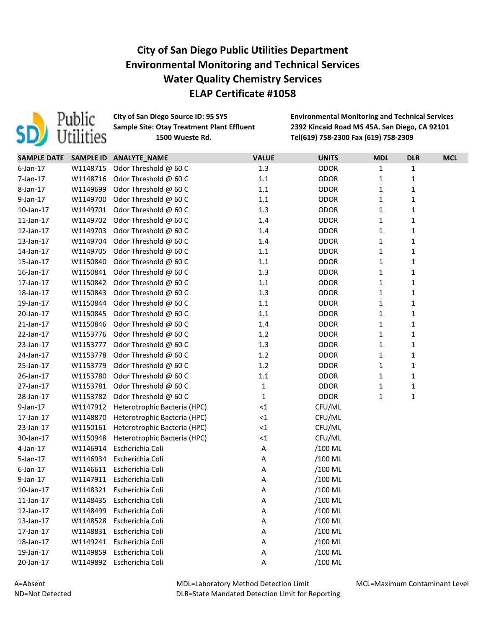

**City of San Diego Source ID: 95 SYS Environmental Monitoring and Technical Services Sample Site: Otay Treatment Plant Effluent 2392 Kincaid Road MS 45A. San Diego, CA 92101 Sample Site: 1500 Wueste Rd. Tel(619) 758-2300 Fax (619) 758-2309**

| SAMPLE DATE SAMPLE ID |          | ANALYTE_NAME                 | <b>VALUE</b> | <b>UNITS</b> | <b>MDL</b>   | <b>DLR</b>   | <b>MCL</b> |
|-----------------------|----------|------------------------------|--------------|--------------|--------------|--------------|------------|
| $6$ -Jan-17           | W1148715 | Odor Threshold @ 60 C        | 1.3          | <b>ODOR</b>  | 1            | $\mathbf{1}$ |            |
| 7-Jan-17              | W1148716 | Odor Threshold @ 60 C        | 1.1          | <b>ODOR</b>  | $\mathbf{1}$ | $\mathbf 1$  |            |
| 8-Jan-17              | W1149699 | Odor Threshold @ 60 C        | $1.1\,$      | <b>ODOR</b>  | 1            | $\mathbf{1}$ |            |
| 9-Jan-17              | W1149700 | Odor Threshold @ 60 C        | 1.1          | <b>ODOR</b>  | $\mathbf{1}$ | $\mathbf{1}$ |            |
| $10$ -Jan- $17$       | W1149701 | Odor Threshold @ 60 C        | 1.3          | <b>ODOR</b>  | $\mathbf{1}$ | $\mathbf{1}$ |            |
| $11$ -Jan- $17$       | W1149702 | Odor Threshold @ 60 C        | 1.4          | <b>ODOR</b>  | $\mathbf{1}$ | $\mathbf{1}$ |            |
| 12-Jan-17             | W1149703 | Odor Threshold @ 60 C        | 1.4          | <b>ODOR</b>  | $\mathbf{1}$ | $\mathbf{1}$ |            |
| 13-Jan-17             | W1149704 | Odor Threshold @ 60 C        | 1.4          | <b>ODOR</b>  | $\mathbf{1}$ | $\mathbf{1}$ |            |
| 14-Jan-17             | W1149705 | Odor Threshold @ 60 C        | 1.1          | <b>ODOR</b>  | $\mathbf{1}$ | $\mathbf{1}$ |            |
| 15-Jan-17             | W1150840 | Odor Threshold @ 60 C        | 1.1          | <b>ODOR</b>  | $\mathbf{1}$ | $\mathbf{1}$ |            |
| 16-Jan-17             | W1150841 | Odor Threshold @ 60 C        | 1.3          | <b>ODOR</b>  | 1            | $\mathbf{1}$ |            |
| 17-Jan-17             | W1150842 | Odor Threshold @ 60 C        | 1.1          | <b>ODOR</b>  | $\mathbf{1}$ | $\mathbf 1$  |            |
| 18-Jan-17             | W1150843 | Odor Threshold @ 60 C        | 1.3          | <b>ODOR</b>  | $\mathbf{1}$ | $\mathbf 1$  |            |
| 19-Jan-17             | W1150844 | Odor Threshold @ 60 C        | $1.1\,$      | <b>ODOR</b>  | $\mathbf{1}$ | $\mathbf{1}$ |            |
| 20-Jan-17             | W1150845 | Odor Threshold @ 60 C        | $1.1\,$      | <b>ODOR</b>  | $\mathbf{1}$ | $\mathbf{1}$ |            |
| 21-Jan-17             | W1150846 | Odor Threshold @ 60 C        | 1.4          | <b>ODOR</b>  | $\mathbf{1}$ | $\mathbf{1}$ |            |
| 22-Jan-17             | W1153776 | Odor Threshold @ 60 C        | 1.2          | <b>ODOR</b>  | $\mathbf{1}$ | $\mathbf{1}$ |            |
| 23-Jan-17             | W1153777 | Odor Threshold @ 60 C        | 1.3          | <b>ODOR</b>  | $\mathbf{1}$ | $\mathbf{1}$ |            |
| 24-Jan-17             | W1153778 | Odor Threshold @ 60 C        | 1.2          | <b>ODOR</b>  | $\mathbf{1}$ | $\mathbf{1}$ |            |
| 25-Jan-17             | W1153779 | Odor Threshold @ 60 C        | 1.2          | <b>ODOR</b>  | $\mathbf{1}$ | $\mathbf{1}$ |            |
| 26-Jan-17             | W1153780 | Odor Threshold @ 60 C        | 1.1          | <b>ODOR</b>  | $\mathbf{1}$ | $\mathbf{1}$ |            |
| 27-Jan-17             | W1153781 | Odor Threshold @ 60 C        | $\mathbf{1}$ | <b>ODOR</b>  | 1            | $\mathbf{1}$ |            |
| 28-Jan-17             | W1153782 | Odor Threshold @ 60 C        | $\mathbf{1}$ | <b>ODOR</b>  | $\mathbf{1}$ | $\mathbf 1$  |            |
| 9-Jan-17              | W1147912 | Heterotrophic Bacteria (HPC) | ${<}1$       | CFU/ML       |              |              |            |
| 17-Jan-17             | W1148870 | Heterotrophic Bacteria (HPC) | ${<}1$       | CFU/ML       |              |              |            |
| 23-Jan-17             | W1150161 | Heterotrophic Bacteria (HPC) | ${<}1$       | CFU/ML       |              |              |            |
| 30-Jan-17             | W1150948 | Heterotrophic Bacteria (HPC) | ${<}1$       | CFU/ML       |              |              |            |
| 4-Jan-17              | W1146914 | Escherichia Coli             | A            | /100 ML      |              |              |            |
| 5-Jan-17              | W1146934 | Escherichia Coli             | A            | /100 ML      |              |              |            |
| $6$ -Jan-17           | W1146611 | Escherichia Coli             | A            | /100 ML      |              |              |            |
| 9-Jan-17              | W1147911 | Escherichia Coli             | A            | /100 ML      |              |              |            |
| 10-Jan-17             | W1148321 | Escherichia Coli             | A            | /100 ML      |              |              |            |
| $11$ -Jan- $17$       | W1148435 | Escherichia Coli             | A            | /100 ML      |              |              |            |
| 12-Jan-17             | W1148499 | Escherichia Coli             | A            | /100 ML      |              |              |            |
| 13-Jan-17             | W1148528 | Escherichia Coli             | A            | /100 ML      |              |              |            |
| 17-Jan-17             | W1148831 | Escherichia Coli             | Α            | /100 ML      |              |              |            |
| 18-Jan-17             | W1149241 | Escherichia Coli             | A            | /100 ML      |              |              |            |
| 19-Jan-17             | W1149859 | Escherichia Coli             | A            | /100 ML      |              |              |            |
| 20-Jan-17             | W1149892 | Escherichia Coli             | A            | /100 ML      |              |              |            |

MDL=Laboratory Method Detection Limit DLR=State Mandated Detection Limit for Reporting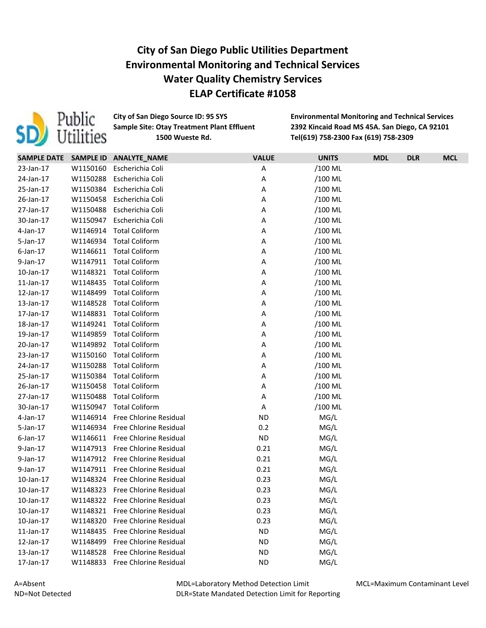

**City of San Diego Source ID: 95 SYS Environmental Monitoring and Technical Services Sample Site: Otay Treatment Plant Effluent 2392 Kincaid Road MS 45A. San Diego, CA 92101 Sample Site: 1500 Wueste Rd. Tel(619) 758-2300 Fax (619) 758-2309**

| <b>SAMPLE DATE</b> | <b>SAMPLE ID</b> | ANALYTE_NAME                    | <b>VALUE</b> | <b>UNITS</b> | <b>MDL</b> | <b>DLR</b> | <b>MCL</b> |
|--------------------|------------------|---------------------------------|--------------|--------------|------------|------------|------------|
| 23-Jan-17          | W1150160         | Escherichia Coli                | Α            | /100 ML      |            |            |            |
| 24-Jan-17          | W1150288         | Escherichia Coli                | Α            | /100 ML      |            |            |            |
| 25-Jan-17          | W1150384         | Escherichia Coli                | Α            | /100 ML      |            |            |            |
| 26-Jan-17          | W1150458         | Escherichia Coli                | Α            | /100 ML      |            |            |            |
| 27-Jan-17          | W1150488         | Escherichia Coli                | Α            | /100 ML      |            |            |            |
| 30-Jan-17          | W1150947         | Escherichia Coli                | Α            | /100 ML      |            |            |            |
| $4$ -Jan-17        | W1146914         | <b>Total Coliform</b>           | Α            | /100 ML      |            |            |            |
| 5-Jan-17           | W1146934         | <b>Total Coliform</b>           | Α            | /100 ML      |            |            |            |
| $6$ -Jan-17        | W1146611         | <b>Total Coliform</b>           | Α            | /100 ML      |            |            |            |
| 9-Jan-17           | W1147911         | <b>Total Coliform</b>           | Α            | /100 ML      |            |            |            |
| 10-Jan-17          | W1148321         | <b>Total Coliform</b>           | Α            | /100 ML      |            |            |            |
| $11$ -Jan- $17$    | W1148435         | <b>Total Coliform</b>           | Α            | /100 ML      |            |            |            |
| 12-Jan-17          | W1148499         | <b>Total Coliform</b>           | Α            | /100 ML      |            |            |            |
| 13-Jan-17          | W1148528         | <b>Total Coliform</b>           | Α            | /100 ML      |            |            |            |
| 17-Jan-17          | W1148831         | <b>Total Coliform</b>           | Α            | /100 ML      |            |            |            |
| 18-Jan-17          | W1149241         | <b>Total Coliform</b>           | Α            | /100 ML      |            |            |            |
| 19-Jan-17          | W1149859         | <b>Total Coliform</b>           | Α            | /100 ML      |            |            |            |
| 20-Jan-17          | W1149892         | <b>Total Coliform</b>           | Α            | /100 ML      |            |            |            |
| 23-Jan-17          | W1150160         | <b>Total Coliform</b>           | Α            | /100 ML      |            |            |            |
| 24-Jan-17          | W1150288         | <b>Total Coliform</b>           | Α            | /100 ML      |            |            |            |
| 25-Jan-17          | W1150384         | <b>Total Coliform</b>           | Α            | /100 ML      |            |            |            |
| 26-Jan-17          | W1150458         | <b>Total Coliform</b>           | Α            | /100 ML      |            |            |            |
| 27-Jan-17          | W1150488         | <b>Total Coliform</b>           | Α            | /100 ML      |            |            |            |
| 30-Jan-17          | W1150947         | <b>Total Coliform</b>           | Α            | /100 ML      |            |            |            |
| $4$ -Jan-17        | W1146914         | Free Chlorine Residual          | <b>ND</b>    | MG/L         |            |            |            |
| 5-Jan-17           | W1146934         | Free Chlorine Residual          | 0.2          | MG/L         |            |            |            |
| $6$ -Jan-17        |                  | W1146611 Free Chlorine Residual | <b>ND</b>    | MG/L         |            |            |            |
| 9-Jan-17           | W1147913         | Free Chlorine Residual          | 0.21         | MG/L         |            |            |            |
| 9-Jan-17           | W1147912         | Free Chlorine Residual          | 0.21         | MG/L         |            |            |            |
| 9-Jan-17           | W1147911         | Free Chlorine Residual          | 0.21         | MG/L         |            |            |            |
| 10-Jan-17          | W1148324         | Free Chlorine Residual          | 0.23         | MG/L         |            |            |            |
| 10-Jan-17          | W1148323         | Free Chlorine Residual          | 0.23         | MG/L         |            |            |            |
| 10-Jan-17          | W1148322         | Free Chlorine Residual          | 0.23         | MG/L         |            |            |            |
| 10-Jan-17          | W1148321         | Free Chlorine Residual          | 0.23         | MG/L         |            |            |            |
| $10$ -Jan- $17$    | W1148320         | Free Chlorine Residual          | 0.23         | MG/L         |            |            |            |
| $11$ -Jan- $17$    | W1148435         | Free Chlorine Residual          | <b>ND</b>    | MG/L         |            |            |            |
| 12-Jan-17          | W1148499         | Free Chlorine Residual          | <b>ND</b>    | MG/L         |            |            |            |
| 13-Jan-17          | W1148528         | Free Chlorine Residual          | <b>ND</b>    | MG/L         |            |            |            |
| 17-Jan-17          | W1148833         | Free Chlorine Residual          | <b>ND</b>    | MG/L         |            |            |            |

MDL=Laboratory Method Detection Limit DLR=State Mandated Detection Limit for Reporting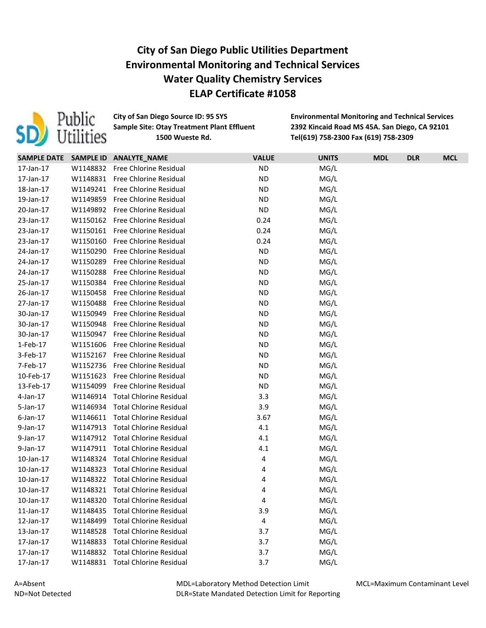

**City of San Diego Source ID: 95 SYS Environmental Monitoring and Technical Services Sample Site: Otay Treatment Plant Effluent 2392 Kincaid Road MS 45A. San Diego, CA 92101 Sample Site: 1500 Wueste Rd. Tel(619) 758-2300 Fax (619) 758-2309**

|             |          | SAMPLE DATE SAMPLE ID ANALYTE_NAME | <b>VALUE</b> | <b>UNITS</b> | <b>MDL</b> | <b>DLR</b> | <b>MCL</b> |
|-------------|----------|------------------------------------|--------------|--------------|------------|------------|------------|
| 17-Jan-17   | W1148832 | Free Chlorine Residual             | <b>ND</b>    | MG/L         |            |            |            |
| 17-Jan-17   |          | W1148831 Free Chlorine Residual    | <b>ND</b>    | MG/L         |            |            |            |
| 18-Jan-17   | W1149241 | Free Chlorine Residual             | <b>ND</b>    | MG/L         |            |            |            |
| 19-Jan-17   | W1149859 | Free Chlorine Residual             | <b>ND</b>    | MG/L         |            |            |            |
| 20-Jan-17   |          | W1149892 Free Chlorine Residual    | <b>ND</b>    | MG/L         |            |            |            |
| 23-Jan-17   |          | W1150162 Free Chlorine Residual    | 0.24         | MG/L         |            |            |            |
| 23-Jan-17   | W1150161 | Free Chlorine Residual             | 0.24         | MG/L         |            |            |            |
| 23-Jan-17   | W1150160 | Free Chlorine Residual             | 0.24         | MG/L         |            |            |            |
| 24-Jan-17   | W1150290 | Free Chlorine Residual             | <b>ND</b>    | MG/L         |            |            |            |
| 24-Jan-17   | W1150289 | Free Chlorine Residual             | <b>ND</b>    | MG/L         |            |            |            |
| 24-Jan-17   | W1150288 | Free Chlorine Residual             | <b>ND</b>    | MG/L         |            |            |            |
| 25-Jan-17   |          | W1150384 Free Chlorine Residual    | <b>ND</b>    | MG/L         |            |            |            |
| 26-Jan-17   | W1150458 | <b>Free Chlorine Residual</b>      | <b>ND</b>    | MG/L         |            |            |            |
| 27-Jan-17   | W1150488 | Free Chlorine Residual             | <b>ND</b>    | MG/L         |            |            |            |
| 30-Jan-17   | W1150949 | Free Chlorine Residual             | <b>ND</b>    | MG/L         |            |            |            |
| 30-Jan-17   | W1150948 | Free Chlorine Residual             | <b>ND</b>    | MG/L         |            |            |            |
| 30-Jan-17   | W1150947 | <b>Free Chlorine Residual</b>      | <b>ND</b>    | MG/L         |            |            |            |
| 1-Feb-17    | W1151606 | Free Chlorine Residual             | <b>ND</b>    | MG/L         |            |            |            |
| 3-Feb-17    | W1152167 | Free Chlorine Residual             | <b>ND</b>    | MG/L         |            |            |            |
| 7-Feb-17    | W1152736 | Free Chlorine Residual             | <b>ND</b>    | MG/L         |            |            |            |
| 10-Feb-17   | W1151623 | Free Chlorine Residual             | <b>ND</b>    | MG/L         |            |            |            |
| 13-Feb-17   | W1154099 | Free Chlorine Residual             | <b>ND</b>    | MG/L         |            |            |            |
| 4-Jan-17    | W1146914 | <b>Total Chlorine Residual</b>     | 3.3          | MG/L         |            |            |            |
| 5-Jan-17    | W1146934 | <b>Total Chlorine Residual</b>     | 3.9          | MG/L         |            |            |            |
| $6$ -Jan-17 | W1146611 | <b>Total Chlorine Residual</b>     | 3.67         | MG/L         |            |            |            |
| 9-Jan-17    | W1147913 | <b>Total Chlorine Residual</b>     | 4.1          | MG/L         |            |            |            |
| 9-Jan-17    | W1147912 | <b>Total Chlorine Residual</b>     | 4.1          | MG/L         |            |            |            |
| 9-Jan-17    | W1147911 | <b>Total Chlorine Residual</b>     | 4.1          | MG/L         |            |            |            |
| 10-Jan-17   | W1148324 | <b>Total Chlorine Residual</b>     | 4            | MG/L         |            |            |            |
| 10-Jan-17   | W1148323 | <b>Total Chlorine Residual</b>     | 4            | MG/L         |            |            |            |
| 10-Jan-17   | W1148322 | <b>Total Chlorine Residual</b>     | 4            | MG/L         |            |            |            |
| 10-Jan-17   | W1148321 | <b>Total Chlorine Residual</b>     | 4            | MG/L         |            |            |            |
| 10-Jan-17   | W1148320 | <b>Total Chlorine Residual</b>     | 4            | MG/L         |            |            |            |
| 11-Jan-17   | W1148435 | <b>Total Chlorine Residual</b>     | 3.9          | MG/L         |            |            |            |
| 12-Jan-17   | W1148499 | <b>Total Chlorine Residual</b>     | 4            | MG/L         |            |            |            |
| 13-Jan-17   | W1148528 | <b>Total Chlorine Residual</b>     | 3.7          | MG/L         |            |            |            |
| 17-Jan-17   | W1148833 | <b>Total Chlorine Residual</b>     | 3.7          | MG/L         |            |            |            |
| 17-Jan-17   | W1148832 | <b>Total Chlorine Residual</b>     | 3.7          | MG/L         |            |            |            |
| 17-Jan-17   | W1148831 | <b>Total Chlorine Residual</b>     | 3.7          | MG/L         |            |            |            |

MDL=Laboratory Method Detection Limit DLR=State Mandated Detection Limit for Reporting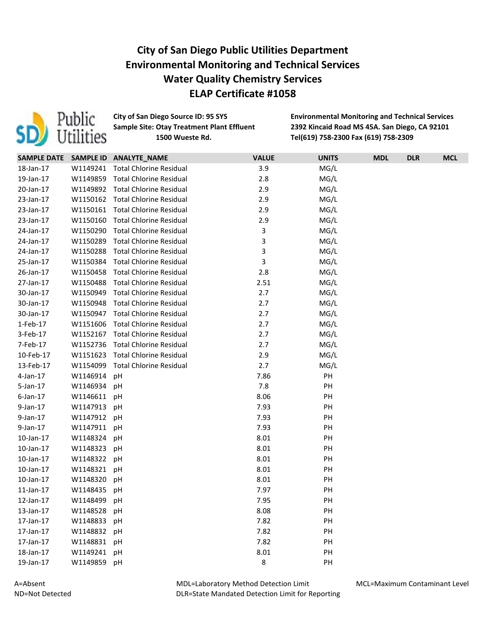

**City of San Diego Source ID: 95 SYS Environmental Monitoring and Technical Services Sample Site: Otay Treatment Plant Effluent 2392 Kincaid Road MS 45A. San Diego, CA 92101 Sample Site: 1500 Wueste Rd. Tel(619) 758-2300 Fax (619) 758-2309**

|                 |          | SAMPLE DATE SAMPLE ID ANALYTE_NAME | <b>VALUE</b> | <b>UNITS</b> | <b>MDL</b> | <b>DLR</b> | <b>MCL</b> |
|-----------------|----------|------------------------------------|--------------|--------------|------------|------------|------------|
| 18-Jan-17       |          | W1149241 Total Chlorine Residual   | 3.9          | MG/L         |            |            |            |
| 19-Jan-17       | W1149859 | <b>Total Chlorine Residual</b>     | 2.8          | MG/L         |            |            |            |
| 20-Jan-17       |          | W1149892 Total Chlorine Residual   | 2.9          | MG/L         |            |            |            |
| 23-Jan-17       |          | W1150162 Total Chlorine Residual   | 2.9          | MG/L         |            |            |            |
| 23-Jan-17       | W1150161 | <b>Total Chlorine Residual</b>     | 2.9          | MG/L         |            |            |            |
| 23-Jan-17       | W1150160 | <b>Total Chlorine Residual</b>     | 2.9          | MG/L         |            |            |            |
| 24-Jan-17       | W1150290 | <b>Total Chlorine Residual</b>     | 3            | MG/L         |            |            |            |
| 24-Jan-17       | W1150289 | <b>Total Chlorine Residual</b>     | 3            | MG/L         |            |            |            |
| 24-Jan-17       | W1150288 | <b>Total Chlorine Residual</b>     | 3            | MG/L         |            |            |            |
| 25-Jan-17       | W1150384 | <b>Total Chlorine Residual</b>     | 3            | MG/L         |            |            |            |
| 26-Jan-17       | W1150458 | <b>Total Chlorine Residual</b>     | 2.8          | MG/L         |            |            |            |
| 27-Jan-17       | W1150488 | Total Chlorine Residual            | 2.51         | MG/L         |            |            |            |
| 30-Jan-17       | W1150949 | <b>Total Chlorine Residual</b>     | 2.7          | MG/L         |            |            |            |
| 30-Jan-17       | W1150948 | <b>Total Chlorine Residual</b>     | 2.7          | MG/L         |            |            |            |
| 30-Jan-17       | W1150947 | <b>Total Chlorine Residual</b>     | 2.7          | MG/L         |            |            |            |
| 1-Feb-17        | W1151606 | <b>Total Chlorine Residual</b>     | 2.7          | MG/L         |            |            |            |
| 3-Feb-17        | W1152167 | <b>Total Chlorine Residual</b>     | 2.7          | MG/L         |            |            |            |
| 7-Feb-17        | W1152736 | <b>Total Chlorine Residual</b>     | 2.7          | MG/L         |            |            |            |
| 10-Feb-17       | W1151623 | <b>Total Chlorine Residual</b>     | 2.9          | MG/L         |            |            |            |
| 13-Feb-17       | W1154099 | <b>Total Chlorine Residual</b>     | 2.7          | MG/L         |            |            |            |
| 4-Jan-17        | W1146914 | рH                                 | 7.86         | PH           |            |            |            |
| 5-Jan-17        | W1146934 | pH                                 | 7.8          | PH           |            |            |            |
| $6$ -Jan-17     | W1146611 | рH                                 | 8.06         | PH           |            |            |            |
| 9-Jan-17        | W1147913 | рH                                 | 7.93         | PH           |            |            |            |
| 9-Jan-17        | W1147912 | рH                                 | 7.93         | PH           |            |            |            |
| 9-Jan-17        | W1147911 | рH                                 | 7.93         | PH           |            |            |            |
| 10-Jan-17       | W1148324 | рH                                 | 8.01         | PH           |            |            |            |
| 10-Jan-17       | W1148323 | pH                                 | 8.01         | PH           |            |            |            |
| 10-Jan-17       | W1148322 | рH                                 | 8.01         | PH           |            |            |            |
| 10-Jan-17       | W1148321 | pH                                 | 8.01         | PH           |            |            |            |
| 10-Jan-17       | W1148320 | рH                                 | 8.01         | PH           |            |            |            |
| $11$ -Jan- $17$ | W1148435 | рH                                 | 7.97         | PH           |            |            |            |
| 12-Jan-17       | W1148499 | рH                                 | 7.95         | PH           |            |            |            |
| 13-Jan-17       | W1148528 | pH                                 | 8.08         | PH           |            |            |            |
| 17-Jan-17       | W1148833 | pH                                 | 7.82         | PH           |            |            |            |
| 17-Jan-17       | W1148832 | рH                                 | 7.82         | PH           |            |            |            |
| 17-Jan-17       | W1148831 | рH                                 | 7.82         | PH           |            |            |            |
| 18-Jan-17       | W1149241 | рH                                 | 8.01         | PH           |            |            |            |
| 19-Jan-17       | W1149859 | рH                                 | $\,8\,$      | PH           |            |            |            |

MDL=Laboratory Method Detection Limit DLR=State Mandated Detection Limit for Reporting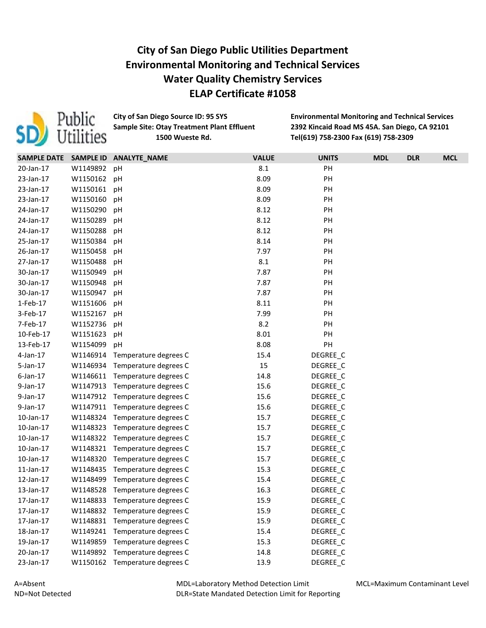

**City of San Diego Source ID: 95 SYS Environmental Monitoring and Technical Services Sample Site: Otay Treatment Plant Effluent 2392 Kincaid Road MS 45A. San Diego, CA 92101 Sample Site: 1500 Wueste Rd. Tel(619) 758-2300 Fax (619) 758-2309**

|                 |          | SAMPLE DATE SAMPLE ID ANALYTE_NAME | <b>VALUE</b> | <b>UNITS</b> | <b>MDL</b> | <b>DLR</b> | <b>MCL</b> |
|-----------------|----------|------------------------------------|--------------|--------------|------------|------------|------------|
| 20-Jan-17       | W1149892 | рH                                 | 8.1          | PH           |            |            |            |
| 23-Jan-17       | W1150162 | рH                                 | 8.09         | PH           |            |            |            |
| 23-Jan-17       | W1150161 | рH                                 | 8.09         | PH           |            |            |            |
| 23-Jan-17       | W1150160 | pH                                 | 8.09         | PH           |            |            |            |
| 24-Jan-17       | W1150290 | pH                                 | 8.12         | PH           |            |            |            |
| 24-Jan-17       | W1150289 | рH                                 | 8.12         | PH           |            |            |            |
| 24-Jan-17       | W1150288 | рH                                 | 8.12         | PH           |            |            |            |
| 25-Jan-17       | W1150384 | pH                                 | 8.14         | PH           |            |            |            |
| 26-Jan-17       | W1150458 | рH                                 | 7.97         | PH           |            |            |            |
| 27-Jan-17       | W1150488 | рH                                 | 8.1          | PH           |            |            |            |
| 30-Jan-17       | W1150949 | рH                                 | 7.87         | PH           |            |            |            |
| 30-Jan-17       | W1150948 | рH                                 | 7.87         | PH           |            |            |            |
| 30-Jan-17       | W1150947 | pH                                 | 7.87         | PH           |            |            |            |
| 1-Feb-17        | W1151606 | pH                                 | 8.11         | PH           |            |            |            |
| 3-Feb-17        | W1152167 | рH                                 | 7.99         | PH           |            |            |            |
| 7-Feb-17        | W1152736 | pH                                 | 8.2          | PH           |            |            |            |
| 10-Feb-17       | W1151623 | pH                                 | 8.01         | PH           |            |            |            |
| 13-Feb-17       | W1154099 | pH                                 | 8.08         | PH           |            |            |            |
| 4-Jan-17        | W1146914 | Temperature degrees C              | 15.4         | DEGREE_C     |            |            |            |
| $5$ -Jan-17     | W1146934 | Temperature degrees C              | 15           | DEGREE C     |            |            |            |
| $6$ -Jan-17     | W1146611 | Temperature degrees C              | 14.8         | DEGREE_C     |            |            |            |
| 9-Jan-17        | W1147913 | Temperature degrees C              | 15.6         | DEGREE_C     |            |            |            |
| 9-Jan-17        | W1147912 | Temperature degrees C              | 15.6         | DEGREE_C     |            |            |            |
| 9-Jan-17        |          | W1147911 Temperature degrees C     | 15.6         | DEGREE_C     |            |            |            |
| 10-Jan-17       | W1148324 | Temperature degrees C              | 15.7         | DEGREE_C     |            |            |            |
| 10-Jan-17       | W1148323 | Temperature degrees C              | 15.7         | DEGREE_C     |            |            |            |
| 10-Jan-17       | W1148322 | Temperature degrees C              | 15.7         | DEGREE_C     |            |            |            |
| $10$ -Jan- $17$ | W1148321 | Temperature degrees C              | 15.7         | DEGREE_C     |            |            |            |
| 10-Jan-17       | W1148320 | Temperature degrees C              | 15.7         | DEGREE_C     |            |            |            |
| $11$ -Jan- $17$ | W1148435 | Temperature degrees C              | 15.3         | DEGREE C     |            |            |            |
| 12-Jan-17       | W1148499 | Temperature degrees C              | 15.4         | DEGREE C     |            |            |            |
| 13-Jan-17       | W1148528 | Temperature degrees C              | 16.3         | DEGREE_C     |            |            |            |
| 17-Jan-17       | W1148833 | Temperature degrees C              | 15.9         | DEGREE_C     |            |            |            |
| 17-Jan-17       |          | W1148832 Temperature degrees C     | 15.9         | DEGREE_C     |            |            |            |
| 17-Jan-17       | W1148831 | Temperature degrees C              | 15.9         | DEGREE_C     |            |            |            |
| 18-Jan-17       | W1149241 | Temperature degrees C              | 15.4         | DEGREE_C     |            |            |            |
| 19-Jan-17       | W1149859 | Temperature degrees C              | 15.3         | DEGREE_C     |            |            |            |
| 20-Jan-17       | W1149892 | Temperature degrees C              | 14.8         | DEGREE_C     |            |            |            |
| 23-Jan-17       | W1150162 | Temperature degrees C              | 13.9         | DEGREE_C     |            |            |            |

MDL=Laboratory Method Detection Limit DLR=State Mandated Detection Limit for Reporting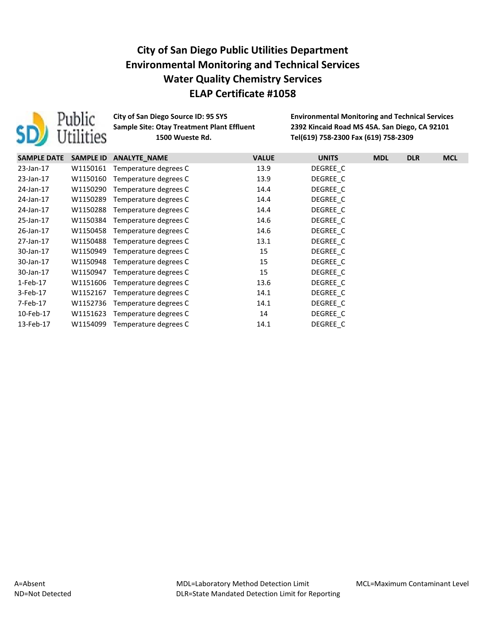

**City of San Diego Source ID: 95 SYS Environmental Monitoring and Technical Services Sample Site: Otay Treatment Plant Effluent 2392 Kincaid Road MS 45A. San Diego, CA 92101 Sample Site: 1500 Wueste Rd. Tel(619) 758-2300 Fax (619) 758-2309**

| <b>SAMPLE DATE</b> | <b>SAMPLE ID</b> | <b>ANALYTE NAME</b>   | <b>VALUE</b> | <b>UNITS</b> | <b>MDL</b> | <b>DLR</b> | <b>MCL</b> |
|--------------------|------------------|-----------------------|--------------|--------------|------------|------------|------------|
| 23-Jan-17          | W1150161         | Temperature degrees C | 13.9         | DEGREE C     |            |            |            |
| 23-Jan-17          | W1150160         | Temperature degrees C | 13.9         | DEGREE C     |            |            |            |
| 24-Jan-17          | W1150290         | Temperature degrees C | 14.4         | DEGREE C     |            |            |            |
| 24-Jan-17          | W1150289         | Temperature degrees C | 14.4         | DEGREE C     |            |            |            |
| 24-Jan-17          | W1150288         | Temperature degrees C | 14.4         | DEGREE C     |            |            |            |
| 25-Jan-17          | W1150384         | Temperature degrees C | 14.6         | DEGREE C     |            |            |            |
| 26-Jan-17          | W1150458         | Temperature degrees C | 14.6         | DEGREE C     |            |            |            |
| 27-Jan-17          | W1150488         | Temperature degrees C | 13.1         | DEGREE C     |            |            |            |
| 30-Jan-17          | W1150949         | Temperature degrees C | 15           | DEGREE C     |            |            |            |
| 30-Jan-17          | W1150948         | Temperature degrees C | 15           | DEGREE C     |            |            |            |
| 30-Jan-17          | W1150947         | Temperature degrees C | 15           | DEGREE C     |            |            |            |
| 1-Feb-17           | W1151606         | Temperature degrees C | 13.6         | DEGREE C     |            |            |            |
| 3-Feb-17           | W1152167         | Temperature degrees C | 14.1         | DEGREE C     |            |            |            |
| 7-Feb-17           | W1152736         | Temperature degrees C | 14.1         | DEGREE C     |            |            |            |
| 10-Feb-17          | W1151623         | Temperature degrees C | 14           | DEGREE C     |            |            |            |
| 13-Feb-17          | W1154099         | Temperature degrees C | 14.1         | DEGREE C     |            |            |            |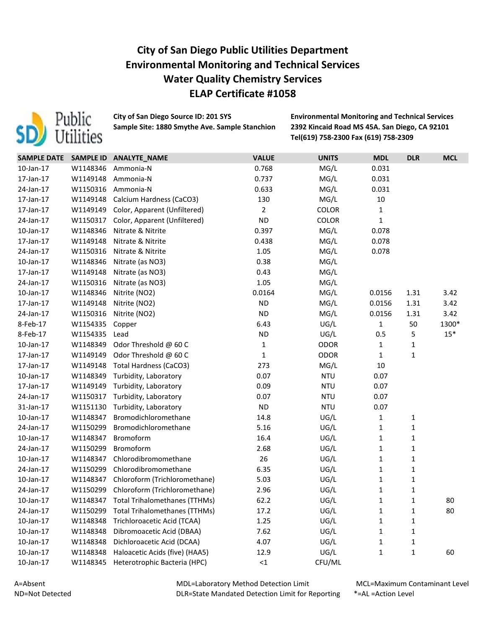

**City of San Diego Source ID: 201 SYS Environmental Monitoring and Technical Services Sample Site: 1880 Smythe Ave. Sample Stanchion 2392 Kincaid Road MS 45A. San Diego, CA 92101**

**Tel(619) 758-2300 Fax (619) 758-2309**

| <b>SAMPLE DATE</b> | <b>SAMPLE ID</b> | ANALYTE_NAME                         | <b>VALUE</b>   | <b>UNITS</b> | <b>MDL</b>   | <b>DLR</b>   | <b>MCL</b> |
|--------------------|------------------|--------------------------------------|----------------|--------------|--------------|--------------|------------|
| 10-Jan-17          | W1148346         | Ammonia-N                            | 0.768          | MG/L         | 0.031        |              |            |
| 17-Jan-17          | W1149148         | Ammonia-N                            | 0.737          | MG/L         | 0.031        |              |            |
| 24-Jan-17          | W1150316         | Ammonia-N                            | 0.633          | MG/L         | 0.031        |              |            |
| 17-Jan-17          | W1149148         | Calcium Hardness (CaCO3)             | 130            | MG/L         | 10           |              |            |
| 17-Jan-17          | W1149149         | Color, Apparent (Unfiltered)         | $\overline{2}$ | <b>COLOR</b> | $\mathbf{1}$ |              |            |
| 24-Jan-17          | W1150317         | Color, Apparent (Unfiltered)         | <b>ND</b>      | <b>COLOR</b> | $\mathbf{1}$ |              |            |
| 10-Jan-17          | W1148346         | Nitrate & Nitrite                    | 0.397          | MG/L         | 0.078        |              |            |
| 17-Jan-17          | W1149148         | Nitrate & Nitrite                    | 0.438          | MG/L         | 0.078        |              |            |
| 24-Jan-17          | W1150316         | Nitrate & Nitrite                    | 1.05           | MG/L         | 0.078        |              |            |
| 10-Jan-17          | W1148346         | Nitrate (as NO3)                     | 0.38           | MG/L         |              |              |            |
| 17-Jan-17          | W1149148         | Nitrate (as NO3)                     | 0.43           | MG/L         |              |              |            |
| 24-Jan-17          | W1150316         | Nitrate (as NO3)                     | 1.05           | MG/L         |              |              |            |
| 10-Jan-17          | W1148346         | Nitrite (NO2)                        | 0.0164         | MG/L         | 0.0156       | 1.31         | 3.42       |
| 17-Jan-17          | W1149148         | Nitrite (NO2)                        | <b>ND</b>      | MG/L         | 0.0156       | 1.31         | 3.42       |
| 24-Jan-17          | W1150316         | Nitrite (NO2)                        | <b>ND</b>      | MG/L         | 0.0156       | 1.31         | 3.42       |
| 8-Feb-17           | W1154335         | Copper                               | 6.43           | UG/L         | $\mathbf{1}$ | 50           | 1300*      |
| 8-Feb-17           | W1154335         | Lead                                 | <b>ND</b>      | UG/L         | 0.5          | 5            | $15*$      |
| 10-Jan-17          | W1148349         | Odor Threshold @ 60 C                | $\mathbf{1}$   | <b>ODOR</b>  | $\mathbf{1}$ | 1            |            |
| 17-Jan-17          | W1149149         | Odor Threshold @ 60 C                | $\mathbf{1}$   | <b>ODOR</b>  | $\mathbf{1}$ | $\mathbf 1$  |            |
| 17-Jan-17          | W1149148         | <b>Total Hardness (CaCO3)</b>        | 273            | MG/L         | 10           |              |            |
| 10-Jan-17          | W1148349         | Turbidity, Laboratory                | 0.07           | <b>NTU</b>   | 0.07         |              |            |
| 17-Jan-17          | W1149149         | Turbidity, Laboratory                | 0.09           | <b>NTU</b>   | 0.07         |              |            |
| 24-Jan-17          | W1150317         | Turbidity, Laboratory                | 0.07           | <b>NTU</b>   | 0.07         |              |            |
| 31-Jan-17          | W1151130         | Turbidity, Laboratory                | <b>ND</b>      | <b>NTU</b>   | 0.07         |              |            |
| $10$ -Jan- $17$    | W1148347         | Bromodichloromethane                 | 14.8           | UG/L         | $\mathbf{1}$ | $\mathbf{1}$ |            |
| 24-Jan-17          | W1150299         | Bromodichloromethane                 | 5.16           | UG/L         | $\mathbf{1}$ | $\mathbf 1$  |            |
| 10-Jan-17          | W1148347         | Bromoform                            | 16.4           | UG/L         | $\mathbf 1$  | $\mathbf 1$  |            |
| 24-Jan-17          | W1150299         | Bromoform                            | 2.68           | UG/L         | $\mathbf{1}$ | $\mathbf 1$  |            |
| 10-Jan-17          | W1148347         | Chlorodibromomethane                 | 26             | UG/L         | $\mathbf{1}$ | $\mathbf{1}$ |            |
| 24-Jan-17          | W1150299         | Chlorodibromomethane                 | 6.35           | UG/L         | $\mathbf{1}$ | $\mathbf{1}$ |            |
| 10-Jan-17          | W1148347         | Chloroform (Trichloromethane)        | 5.03           | UG/L         | 1            | $\mathbf{1}$ |            |
| 24-Jan-17          | W1150299         | Chloroform (Trichloromethane)        | 2.96           | UG/L         | $\mathbf{1}$ | $\mathbf{1}$ |            |
| 10-Jan-17          | W1148347         | <b>Total Trihalomethanes (TTHMs)</b> | 62.2           | UG/L         | $\mathbf{1}$ | $\mathbf{1}$ | 80         |
| 24-Jan-17          | W1150299         | <b>Total Trihalomethanes (TTHMs)</b> | 17.2           | UG/L         | 1            | 1            | 80         |
| 10-Jan-17          | W1148348         | Trichloroacetic Acid (TCAA)          | 1.25           | UG/L         | 1            | 1            |            |
| 10-Jan-17          | W1148348         | Dibromoacetic Acid (DBAA)            | 7.62           | UG/L         | 1            | 1            |            |
| 10-Jan-17          | W1148348         | Dichloroacetic Acid (DCAA)           | 4.07           | UG/L         | 1            | 1            |            |
| 10-Jan-17          | W1148348         | Haloacetic Acids (five) (HAA5)       | 12.9           | UG/L         | $\mathbf{1}$ | 1            | 60         |
| 10-Jan-17          | W1148345         | Heterotrophic Bacteria (HPC)         | $\leq 1$       | CFU/ML       |              |              |            |

MDL=Laboratory Method Detection Limit DLR=State Mandated Detection Limit for Reporting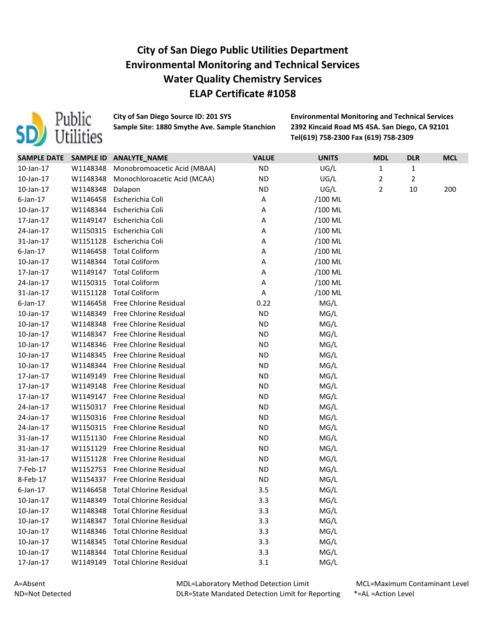

**City of San Diego Source ID: 201 SYS Environmental Monitoring and Technical Services Sample Site: 1880 Smythe Ave. Sample Stanchion 2392 Kincaid Road MS 45A. San Diego, CA 92101**

**Tel(619) 758-2300 Fax (619) 758-2309**

| <b>SAMPLE DATE</b> |          | SAMPLE ID ANALYTE_NAME         | <b>VALUE</b> | <b>UNITS</b> | <b>MDL</b> | <b>DLR</b> | <b>MCL</b> |
|--------------------|----------|--------------------------------|--------------|--------------|------------|------------|------------|
| 10-Jan-17          | W1148348 | Monobromoacetic Acid (MBAA)    | <b>ND</b>    | UG/L         | 1          | 1          |            |
| 10-Jan-17          | W1148348 | Monochloroacetic Acid (MCAA)   | <b>ND</b>    | UG/L         | 2          | 2          |            |
| 10-Jan-17          | W1148348 | Dalapon                        | <b>ND</b>    | UG/L         | 2          | 10         | 200        |
| $6$ -Jan-17        | W1146458 | Escherichia Coli               | Α            | /100 ML      |            |            |            |
| 10-Jan-17          | W1148344 | Escherichia Coli               | Α            | /100 ML      |            |            |            |
| 17-Jan-17          | W1149147 | Escherichia Coli               | Α            | /100 ML      |            |            |            |
| 24-Jan-17          | W1150315 | Escherichia Coli               | Α            | /100 ML      |            |            |            |
| 31-Jan-17          | W1151128 | Escherichia Coli               | Α            | /100 ML      |            |            |            |
| $6$ -Jan-17        | W1146458 | <b>Total Coliform</b>          | Α            | /100 ML      |            |            |            |
| $10$ -Jan- $17$    | W1148344 | <b>Total Coliform</b>          | Α            | /100 ML      |            |            |            |
| 17-Jan-17          | W1149147 | <b>Total Coliform</b>          | Α            | /100 ML      |            |            |            |
| 24-Jan-17          | W1150315 | <b>Total Coliform</b>          | Α            | /100 ML      |            |            |            |
| 31-Jan-17          | W1151128 | <b>Total Coliform</b>          | Α            | /100 ML      |            |            |            |
| $6$ -Jan-17        | W1146458 | Free Chlorine Residual         | 0.22         | MG/L         |            |            |            |
| 10-Jan-17          | W1148349 | Free Chlorine Residual         | <b>ND</b>    | MG/L         |            |            |            |
| 10-Jan-17          | W1148348 | Free Chlorine Residual         | <b>ND</b>    | MG/L         |            |            |            |
| 10-Jan-17          | W1148347 | <b>Free Chlorine Residual</b>  | <b>ND</b>    | MG/L         |            |            |            |
| 10-Jan-17          | W1148346 | Free Chlorine Residual         | <b>ND</b>    | MG/L         |            |            |            |
| 10-Jan-17          | W1148345 | Free Chlorine Residual         | <b>ND</b>    | MG/L         |            |            |            |
| $10$ -Jan- $17$    | W1148344 | Free Chlorine Residual         | <b>ND</b>    | MG/L         |            |            |            |
| 17-Jan-17          | W1149149 | Free Chlorine Residual         | <b>ND</b>    | MG/L         |            |            |            |
| 17-Jan-17          | W1149148 | Free Chlorine Residual         | <b>ND</b>    | MG/L         |            |            |            |
| 17-Jan-17          | W1149147 | <b>Free Chlorine Residual</b>  | <b>ND</b>    | MG/L         |            |            |            |
| 24-Jan-17          | W1150317 | Free Chlorine Residual         | <b>ND</b>    | MG/L         |            |            |            |
| 24-Jan-17          | W1150316 | Free Chlorine Residual         | <b>ND</b>    | MG/L         |            |            |            |
| 24-Jan-17          | W1150315 | Free Chlorine Residual         | <b>ND</b>    | MG/L         |            |            |            |
| 31-Jan-17          | W1151130 | Free Chlorine Residual         | <b>ND</b>    | MG/L         |            |            |            |
| 31-Jan-17          | W1151129 | Free Chlorine Residual         | <b>ND</b>    | MG/L         |            |            |            |
| 31-Jan-17          | W1151128 | Free Chlorine Residual         | <b>ND</b>    | MG/L         |            |            |            |
| 7-Feb-17           | W1152753 | Free Chlorine Residual         | <b>ND</b>    | MG/L         |            |            |            |
| 8-Feb-17           | W1154337 | Free Chlorine Residual         | <b>ND</b>    | MG/L         |            |            |            |
| $6$ -Jan-17        | W1146458 | <b>Total Chlorine Residual</b> | 3.5          | MG/L         |            |            |            |
| 10-Jan-17          | W1148349 | <b>Total Chlorine Residual</b> | 3.3          | MG/L         |            |            |            |
| 10-Jan-17          | W1148348 | <b>Total Chlorine Residual</b> | 3.3          | MG/L         |            |            |            |
| 10-Jan-17          | W1148347 | <b>Total Chlorine Residual</b> | 3.3          | MG/L         |            |            |            |
| $10$ -Jan- $17$    | W1148346 | <b>Total Chlorine Residual</b> | 3.3          | MG/L         |            |            |            |
| 10-Jan-17          | W1148345 | <b>Total Chlorine Residual</b> | 3.3          | MG/L         |            |            |            |
| $10$ -Jan- $17$    | W1148344 | <b>Total Chlorine Residual</b> | 3.3          | MG/L         |            |            |            |
| 17-Jan-17          | W1149149 | <b>Total Chlorine Residual</b> | 3.1          | MG/L         |            |            |            |

A=Absent ND=Not Detected MDL=Laboratory Method Detection Limit DLR=State Mandated Detection Limit for Reporting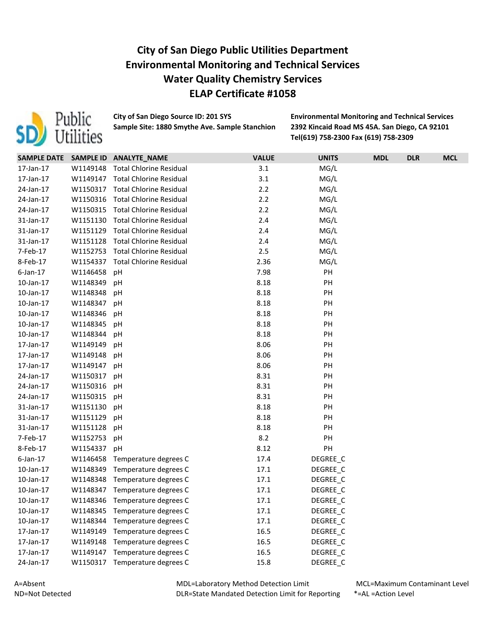

**Sample Site: 1880 Smythe Ave. Sample Stanchion 2392 Kincaid Road MS 45A. San Diego, CA 92101**

**City of San Diego Source ID: 201 SYS Environmental Monitoring and Technical Services Tel(619) 758-2300 Fax (619) 758-2309**

| SAMPLE DATE SAMPLE ID |          | <b>ANALYTE_NAME</b>            | <b>VALUE</b> | <b>UNITS</b> | <b>MDL</b> | <b>DLR</b> | <b>MCL</b> |
|-----------------------|----------|--------------------------------|--------------|--------------|------------|------------|------------|
| 17-Jan-17             | W1149148 | <b>Total Chlorine Residual</b> | 3.1          | MG/L         |            |            |            |
| 17-Jan-17             | W1149147 | <b>Total Chlorine Residual</b> | 3.1          | MG/L         |            |            |            |
| 24-Jan-17             | W1150317 | <b>Total Chlorine Residual</b> | 2.2          | MG/L         |            |            |            |
| 24-Jan-17             | W1150316 | <b>Total Chlorine Residual</b> | 2.2          | MG/L         |            |            |            |
| 24-Jan-17             | W1150315 | <b>Total Chlorine Residual</b> | 2.2          | MG/L         |            |            |            |
| 31-Jan-17             | W1151130 | <b>Total Chlorine Residual</b> | 2.4          | MG/L         |            |            |            |
| 31-Jan-17             | W1151129 | <b>Total Chlorine Residual</b> | 2.4          | MG/L         |            |            |            |
| 31-Jan-17             | W1151128 | <b>Total Chlorine Residual</b> | $2.4$        | MG/L         |            |            |            |
| 7-Feb-17              | W1152753 | <b>Total Chlorine Residual</b> | 2.5          | MG/L         |            |            |            |
| 8-Feb-17              | W1154337 | <b>Total Chlorine Residual</b> | 2.36         | MG/L         |            |            |            |
| $6$ -Jan-17           | W1146458 | pH                             | 7.98         | PH           |            |            |            |
| 10-Jan-17             | W1148349 | pH                             | 8.18         | PH           |            |            |            |
| 10-Jan-17             | W1148348 | pH                             | 8.18         | PH           |            |            |            |
| 10-Jan-17             | W1148347 | рH                             | 8.18         | PH           |            |            |            |
| 10-Jan-17             | W1148346 | рH                             | 8.18         | PH           |            |            |            |
| 10-Jan-17             | W1148345 | pH                             | 8.18         | PH           |            |            |            |
| 10-Jan-17             | W1148344 | pH                             | 8.18         | PH           |            |            |            |
| 17-Jan-17             | W1149149 | pH                             | 8.06         | PH           |            |            |            |
| 17-Jan-17             | W1149148 | pH                             | 8.06         | PH           |            |            |            |
| 17-Jan-17             | W1149147 | рH                             | 8.06         | PH           |            |            |            |
| 24-Jan-17             | W1150317 | pH                             | 8.31         | PH           |            |            |            |
| 24-Jan-17             | W1150316 | pH                             | 8.31         | PH           |            |            |            |
| 24-Jan-17             | W1150315 | рH                             | 8.31         | PH           |            |            |            |
| 31-Jan-17             | W1151130 | pH                             | 8.18         | PH           |            |            |            |
| 31-Jan-17             | W1151129 | pH                             | 8.18         | PH           |            |            |            |
| 31-Jan-17             | W1151128 | pH                             | 8.18         | PH           |            |            |            |
| 7-Feb-17              | W1152753 | pH                             | 8.2          | PH           |            |            |            |
| 8-Feb-17              | W1154337 | pH                             | 8.12         | PH           |            |            |            |
| $6$ -Jan-17           | W1146458 | Temperature degrees C          | 17.4         | DEGREE_C     |            |            |            |
| 10-Jan-17             | W1148349 | Temperature degrees C          | 17.1         | DEGREE_C     |            |            |            |
| 10-Jan-17             | W1148348 | Temperature degrees C          | 17.1         | DEGREE_C     |            |            |            |
| 10-Jan-17             | W1148347 | Temperature degrees C          | 17.1         | DEGREE_C     |            |            |            |
| 10-Jan-17             | W1148346 | Temperature degrees C          | 17.1         | DEGREE_C     |            |            |            |
| 10-Jan-17             | W1148345 | Temperature degrees C          | 17.1         | DEGREE_C     |            |            |            |
| 10-Jan-17             | W1148344 | Temperature degrees C          | 17.1         | DEGREE_C     |            |            |            |
| 17-Jan-17             | W1149149 | Temperature degrees C          | 16.5         | DEGREE_C     |            |            |            |
| 17-Jan-17             | W1149148 | Temperature degrees C          | 16.5         | DEGREE C     |            |            |            |
| 17-Jan-17             | W1149147 | Temperature degrees C          | 16.5         | DEGREE_C     |            |            |            |
| 24-Jan-17             | W1150317 | Temperature degrees C          | 15.8         | DEGREE_C     |            |            |            |

MDL=Laboratory Method Detection Limit DLR=State Mandated Detection Limit for Reporting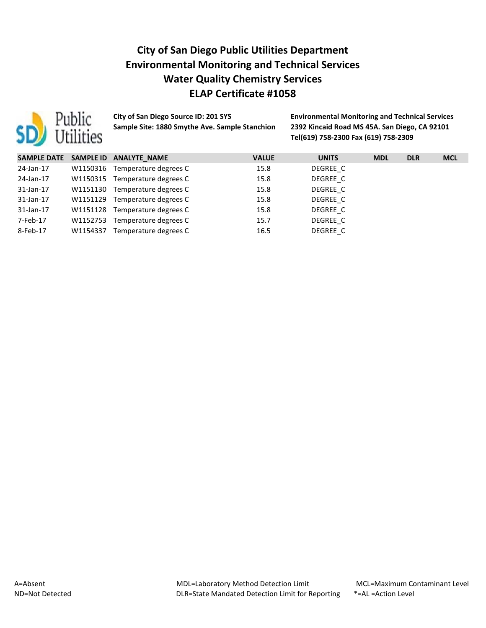

**Sample Site: 1880 Smythe Ave. Sample Stanchion 2392 Kincaid Road MS 45A. San Diego, CA 92101**

**City of San Diego Source ID: 201 SYS Environmental Monitoring and Technical Services Tel(619) 758-2300 Fax (619) 758-2309**

| <b>SAMPLE DATE</b> |          | SAMPLE ID ANALYTE NAME         | <b>VALUE</b> | <b>UNITS</b> | <b>MDL</b> | <b>DLR</b> | <b>MCL</b> |
|--------------------|----------|--------------------------------|--------------|--------------|------------|------------|------------|
| 24-Jan-17          | W1150316 | Temperature degrees C          | 15.8         | DEGREE C     |            |            |            |
| 24-Jan-17          | W1150315 | Temperature degrees C          | 15.8         | DEGREE C     |            |            |            |
| 31-Jan-17          |          | W1151130 Temperature degrees C | 15.8         | DEGREE C     |            |            |            |
| 31-Jan-17          | W1151129 | Temperature degrees C          | 15.8         | DEGREE C     |            |            |            |
| 31-Jan-17          |          | W1151128 Temperature degrees C | 15.8         | DEGREE C     |            |            |            |
| 7-Feb-17           | W1152753 | Temperature degrees C          | 15.7         | DEGREE C     |            |            |            |
| 8-Feb-17           | W1154337 | Temperature degrees C          | 16.5         | DEGREE C     |            |            |            |